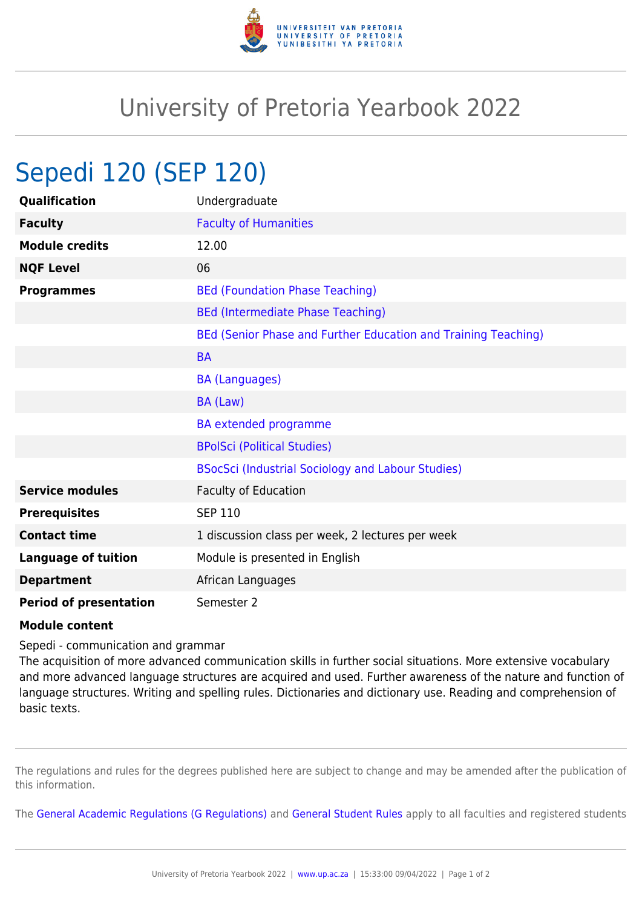

## University of Pretoria Yearbook 2022

## Sepedi 120 (SEP 120)

| Qualification                 | Undergraduate                                                  |
|-------------------------------|----------------------------------------------------------------|
| <b>Faculty</b>                | <b>Faculty of Humanities</b>                                   |
| <b>Module credits</b>         | 12.00                                                          |
| <b>NQF Level</b>              | 06                                                             |
| <b>Programmes</b>             | <b>BEd (Foundation Phase Teaching)</b>                         |
|                               | <b>BEd (Intermediate Phase Teaching)</b>                       |
|                               | BEd (Senior Phase and Further Education and Training Teaching) |
|                               | <b>BA</b>                                                      |
|                               | <b>BA (Languages)</b>                                          |
|                               | BA (Law)                                                       |
|                               | <b>BA</b> extended programme                                   |
|                               | <b>BPolSci (Political Studies)</b>                             |
|                               | BSocSci (Industrial Sociology and Labour Studies)              |
| <b>Service modules</b>        | Faculty of Education                                           |
| <b>Prerequisites</b>          | <b>SEP 110</b>                                                 |
| <b>Contact time</b>           | 1 discussion class per week, 2 lectures per week               |
| <b>Language of tuition</b>    | Module is presented in English                                 |
| <b>Department</b>             | African Languages                                              |
| <b>Period of presentation</b> | Semester 2                                                     |

## **Module content**

Sepedi - communication and grammar

The acquisition of more advanced communication skills in further social situations. More extensive vocabulary and more advanced language structures are acquired and used. Further awareness of the nature and function of language structures. Writing and spelling rules. Dictionaries and dictionary use. Reading and comprehension of basic texts.

The regulations and rules for the degrees published here are subject to change and may be amended after the publication of this information.

The [General Academic Regulations \(G Regulations\)](https://www.up.ac.za/faculty-of-education/yearbooks/2022/rules/view/REG) and [General Student Rules](https://www.up.ac.za/faculty-of-education/yearbooks/2022/rules/view/RUL) apply to all faculties and registered students